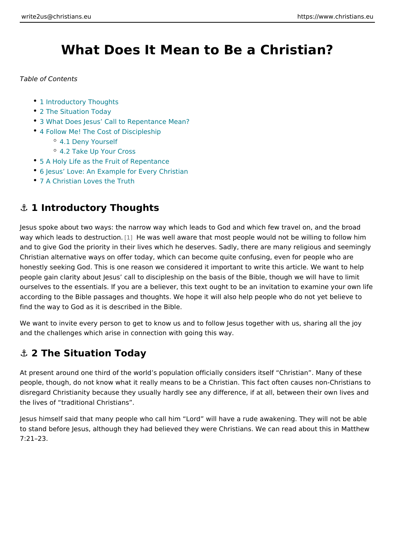# What Does It Mean to Be a Christian

Table of Contents

- 1 Introductory Thoughts
- 2 The Situation Today
- [3 What Does Jesus Call to Repe](#page-1-0)ntance Mean?
- [4 Follow Me! The Cost of](#page-2-0) Discipleship
	- [4.1 Deny Yo](#page-3-0)urself
	- [4.2 Take Up You](#page-3-0)r Cross
- [5 A Holy Life as the Fruit o](#page-4-0)f Repentance
- [6 Jesus Love: An Example for E](#page-5-0)very Christian
- [7 A Christian Loves](#page-6-0) the Truth

### &" 1 Introductory Thoughts

Jesus spoke about two ways: the narrow way which leads to God and which few t way which leads to de[str](#page-8-0)uction. well aware that most people would not be willing and to give God the priority in their lives which he deserves. Sadly, there are m Christian alternative ways on offer today, which can become quite confusing, even honestly seeking God. This is one reason we considered it important to write thi people gain clarity about Jesus call to discipleship on the basis of the Bible, th ourselves to the essentials. If you are a believer, this text ought to be an invita according to the Bible passages and thoughts. We hope it will also help people v find the way to God as it is described in the Bible.

We want to invite every person to get to know us and to follow Jesus together wi and the challenges which arise in connection with going this way.

### &" 2 The Situation Today

At present around one third of the world s population officially considers itself people, though, do not know what it really means to be a Christian. This fact oft disregard Christianity because they usually hardly see any difference, if at all, the lives of traditional Christians .

Jesus himself said that many people who call him Lord will have a rude awaken to stand before Jesus, although they had believed they were Christians. We can 7:21 23.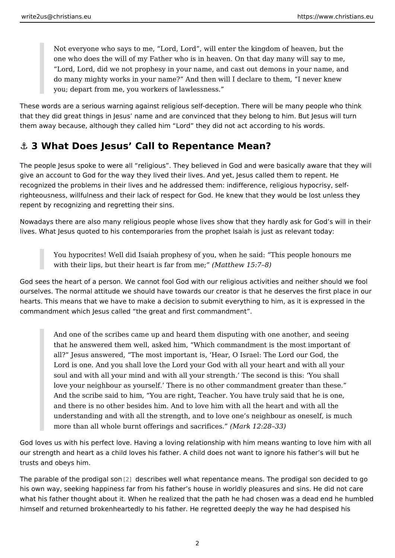<span id="page-1-0"></span>Not everyone who says to me, Lord, Lord, will enter the kingdom of he one who does the will of my Father who is in heaven. On that day many Lord, Lord, did we not prophesy in your name, and cast out demons in do many mighty works in your name? And then will I declare to them, I you; depart from me, you workers of lawlessness.

These words are a serious warning against religious self-deception. There will b that they did great things in Jesus name and are convinced that they belong to them away because, although they called him Lord they did not act according to

### &" 3 What Does Jesus Call to Repentance Mean?

The people Jesus spoke to were all religious . They believed in God and were b give an account to God for the way they lived their lives. And yet, Jesus called recognized the problems in their lives and he addressed them: indifference, relig righteousness, willfulness and their lack of respect for God. He knew that they v repent by recognizing and regretting their sins.

Nowadays there are also many religious people whose lives show that they hardl lives. What Jesus quoted to his contemporaries from the prophet Isaiah is just a

You hypocrites! Well did Isaiah prophesy of you, when he said: This pe with their lips, but their heart is  $\alpha$  factor  $\alpha$  =  $(2\alpha + 1)\alpha$ 

God sees the heart of a person. We cannot fool God with our religious activities ourselves. The normal attitude we should have towards our creator is that he de hearts. This means that we have to make a decision to submit everything to him, commandment which Jesus called the great and first commandment .

And one of the scribes came up and heard them disputing with one anot that he answered them well, asked him, Which commandment is the most all? Jesus answered, The most important is, Hear, O Israel: The Lord Lord is one. And you shall love the Lord your God with all your heart an soul and with all your mind and with all your strength. The second is the love your neighbour as yourself. There is no other commandment greate And the scribe said to him, You are right, Teacher. You have truly said and there is no other besides him. And to love him with all the heart an understanding and with all the strength, and to love one s neighbour as more than all whole burnt offerings an Mark criati  $2.8$ s33)

God loves us with his perfect love. Having a loving relationship with him means our strength and heart as a child loves his father. A child does not want to ignor trusts and obeys him.

The parable of the pro $\phi$  gales comibes well what repentance means. The pr[odi](#page-8-0)gal so his own way, seeking happiness far from his father s house in worldly pleasures what his father thought about it. When he realized that the path he had chosen v himself and returned brokenheartedly to his father. He regretted deeply the way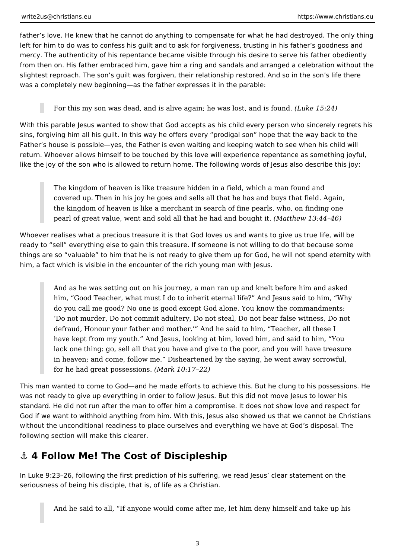<span id="page-2-0"></span>father's love. He knew that he cannot do anything to compensate for what he had destroyed. The only thing left for him to do was to confess his guilt and to ask for forgiveness, trusting in his father's goodness and mercy. The authenticity of his repentance became visible through his desire to serve his father obediently from then on. His father embraced him, gave him a ring and sandals and arranged a celebration without the slightest reproach. The son's guilt was forgiven, their relationship restored. And so in the son's life there was a completely new beginning—as the father expresses it in the parable:

For this my son was dead, and is alive again; he was lost, and is found. *(Luke 15:24)*

With this parable Jesus wanted to show that God accepts as his child every person who sincerely regrets his sins, forgiving him all his guilt. In this way he offers every "prodigal son" hope that the way back to the Father's house is possible—yes, the Father is even waiting and keeping watch to see when his child will return. Whoever allows himself to be touched by this love will experience repentance as something joyful, like the joy of the son who is allowed to return home. The following words of Jesus also describe this joy:

The kingdom of heaven is like treasure hidden in a field, which a man found and covered up. Then in his joy he goes and sells all that he has and buys that field. Again, the kingdom of heaven is like a merchant in search of fine pearls, who, on finding one pearl of great value, went and sold all that he had and bought it. *(Matthew 13:44–46)*

Whoever realises what a precious treasure it is that God loves us and wants to give us true life, will be ready to "sell" everything else to gain this treasure. If someone is not willing to do that because some things are so "valuable" to him that he is not ready to give them up for God, he will not spend eternity with him, a fact which is visible in the encounter of the rich young man with Jesus.

And as he was setting out on his journey, a man ran up and knelt before him and asked him, "Good Teacher, what must I do to inherit eternal life?" And Jesus said to him, "Why do you call me good? No one is good except God alone. You know the commandments: 'Do not murder, Do not commit adultery, Do not steal, Do not bear false witness, Do not defraud, Honour your father and mother.'" And he said to him, "Teacher, all these I have kept from my youth." And Jesus, looking at him, loved him, and said to him, "You lack one thing: go, sell all that you have and give to the poor, and you will have treasure in heaven; and come, follow me." Disheartened by the saying, he went away sorrowful, for he had great possessions. *(Mark 10:17–22)*

This man wanted to come to God—and he made efforts to achieve this. But he clung to his possessions. He was not ready to give up everything in order to follow Jesus. But this did not move Jesus to lower his standard. He did not run after the man to offer him a compromise. It does not show love and respect for God if we want to withhold anything from him. With this, Jesus also showed us that we cannot be Christians without the unconditional readiness to place ourselves and everything we have at God's disposal. The following section will make this clearer.

## **⚓ 4 Follow Me! The Cost of Discipleship**

In Luke 9:23–26, following the first prediction of his suffering, we read Jesus' clear statement on the seriousness of being his disciple, that is, of life as a Christian.

And he said to all, "If anyone would come after me, let him deny himself and take up his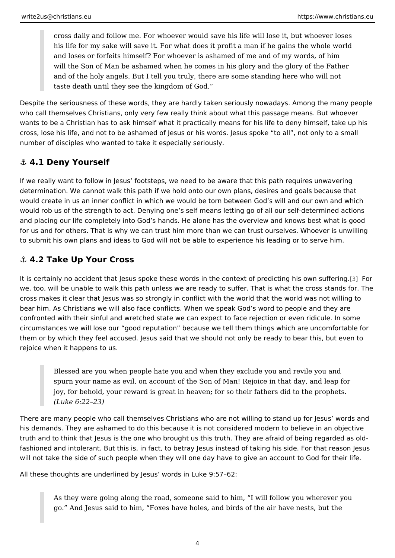<span id="page-3-0"></span>cross daily and follow me. For whoever would save his life will lose it, his life for my sake will save it. For what does it profit a man if he gair and loses or forfeits himself? For whoever is ashamed of me and of my will the Son of Man be ashamed when he comes in his glory and the glor and of the holy angels. But I tell you truly, there are some standing her taste death until they see the kingdom of God.

Despite the seriousness of these words, they are hardly taken seriously nowaday who call themselves Christians, only very few really think about what this passa wants to be a Christian has to ask himself what it practically means for his life cross, lose his life, and not to be ashamed of Jesus or his words. Jesus spoke number of disciples who wanted to take it especially seriously.

#### &" 4.1 Deny Yourself

If we really want to follow in Jesus footsteps, we need to be aware that this pat determination. We cannot walk this path if we hold onto our own plans, desires a would create in us an inner conflict in which we would be torn between God s wi would rob us of the strength to act. Denying one s self means letting go of all o and placing our life completely into God s hands. He alone has the overview and for us and for others. That is why we can trust him more than we can trust ourse to submit his own plans and ideas to God will not be able to experience his lead

#### &" 4.2 Take Up Your Cross

It is certainly no accident that Jesus spoke these words in the context [of](#page-8-0) pordic we, too, will be unable to walk this path unless we are ready to suffer. That is w cross makes it clear that Jesus was so strongly in conflict with the world that th bear him. As Christians we will also face conflicts. When we speak God s word t confronted with their sinful and wretched state we can expect to face rejection o circumstances we will lose our good reputation because we tell them things wh them or by which they feel accused. Jesus said that we should not only be ready rejoice when it happens to us.

Blessed are you when people hate you and when they exclude you and r spurn your name as evil, on account of the Son of Man! Rejoice in that joy, for behold, your reward is great in heaven; for so their fathers did (Luke 6:22 23)

There are many people who call themselves Christians who are not willing to sta his demands. They are ashamed to do this because it is not considered modern t truth and to think that Jesus is the one who brought us this truth. They are afrai fashioned and intolerant. But this is, in fact, to betray Jesus instead of taking h will not take the side of such people when they will one day have to give an acc

All these thoughts are underlined by Jesus words in Luke 9:57 62:

As they were going along the road, someone said to him, I will follow y go. And Jesus said to him, Foxes have holes, and birds of the air have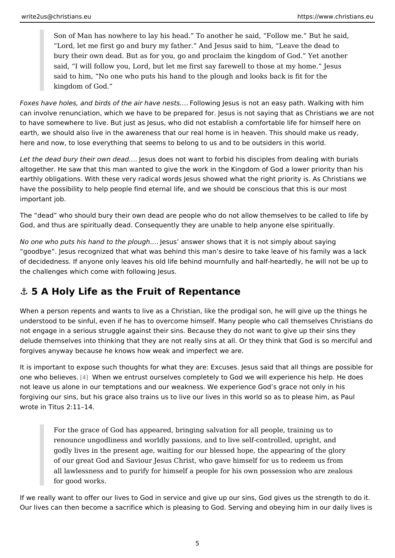<span id="page-4-0"></span>Son of Man has nowhere to lay his head. To another he said, Follow m Lord, let me first go and bury my father. And Jesus said to him, Leav bury their own dead. But as for you, go and proclaim the kingdom of Go said, I will follow you, Lord, but let me first say farewell to those at m said to him, No one who puts his hand to the plough and looks back is kingdom of God.

Foxes have holes, and birds of the airFoll boweim opsults as not an easy path. Walkin can involve renunciation, which we have to be prepared for. Jesus is not saving to have somewhere to live. But just as Jesus, who did not establish a comfortabl earth, we should also live in the awareness that our real home is in heaven. Thi here and now, to lose everything that seems to belong to us and to be outsiders

Let the dead bury their ow hedead &. ot want to forbid his disciples from dealing altogether. He saw that this man wanted to give the work in the Kingdom of God earthly obligations. With these very radical words Jesus showed what the right p have the possibility to help people find eternal life, and we should be conscious important job.

The dead who should bury their own dead are people who do not allow themselves God, and thus are spiritually dead. Consequently they are unable to help anyone

No one who puts his hand to the e plusugal mass wer shows that it is not simply about sa goodbye . Jesus recognized that what was behind this man s desire to take leav of decidedness. If anyone only leaves his old life behind mournfully and half-hea the challenges which come with following Jesus.

#### &" 5 A Holy Life as the Fruit of Repentance

When a person repents and wants to live as a Christian, like the prodigal son, h understood to be sinful, even if he has to overcome himself. Many people who ca not engage in a serious struggle against their sins. Because they do not want to delude themselves into thinking that they are not really sins at all. Or they think forgives anyway because he knows how weak and imperfect we are.

It is important to expose such thoughts for what they are: Excuses. Jesus said t one who beliewew.hen we entrust ourselves completely to God we will experience not leave us alone in our temptations and our weakness. We experience God s gi forgiving our sins, but his grace also trains us to live our lives in this world so wrote in Titus 2:11 14.

For the grace of God has appeared, bringing salvation for all people, tr renounce ungodliness and worldly passions, and to live self-controlled, godly lives in the present age, waiting for our blessed hope, the appear of our great God and Saviour Jesus Christ, who gave himself for us to re all lawlessness and to purify for himself a people for his own possessio for good works.

If we really want to offer our lives to God in service and give up our sins, God g Our lives can then become a sacrifice which is pleasing to God. Serving and obe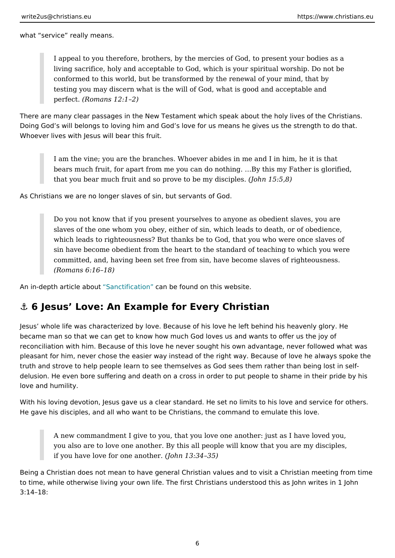<span id="page-5-0"></span>what service really means.

I appeal to you therefore, brothers, by the mercies of God, to present y living sacrifice, holy and acceptable to God, which is your spiritual wor conformed to this world, but be transformed by the renewal of your mind testing you may discern what is the will of God, what is good and acceptable and and acceptable and and and and  $perfect Romans 12:1 2)$ 

There are many clear passages in the New Testament which speak about the holy Doing God s will belongs to loving him and God s love for us means he gives us Whoever lives with Jesus will bear this fruit.

I am the vine; you are the branches. Whoever abides in me and I in him bears much fruit, for apart from me you can do nothing. & By this my Fat that you bear much fruit and so prove to beomy  $\text{d5s5}$ ; $\beta$ )es.

As Christians we are no longer slaves of sin, but servants of God.

Do you not know that if you present yourselves to anyone as obedient s slaves of the one whom you obey, either of sin, which leads to death, o which leads to righteousness? But thanks be to God, that you who were sin have become obedient from the heart to the standard of teaching to committed, and, having been set free from sin, have become slaves of r (Romans 6:16 18)

An in-depth article Saaboout ficationarn be found on this website.

#### &" 6 Jesus Love: An Example for Every Christian

Jesus whole life was characterized by love. Because of his love he left behind I became man so that we can get to know how much God loves us and wants to off reconciliation with him. Because of this love he never sought his own advantage pleasant for him, never chose the easier way instead of the right way. Because of truth and strove to help people learn to see themselves as God sees them rather delusion. He even bore suffering and death on a cross in order to put people to love and humility.

With his loving devotion, Jesus gave us a clear standard. He set no limits to his He gave his disciples, and all who want to be Christians, the command to emulat

A new commandment I give to you, that you love one another: just as I I you also are to love one another. By this all people will know that you a if you have love for one  $\phi$  and the 3:34 35)

Being a Christian does not mean to have general Christian values and to visit a to time, while otherwise living your own life. The first Christians understood this 3:14 18: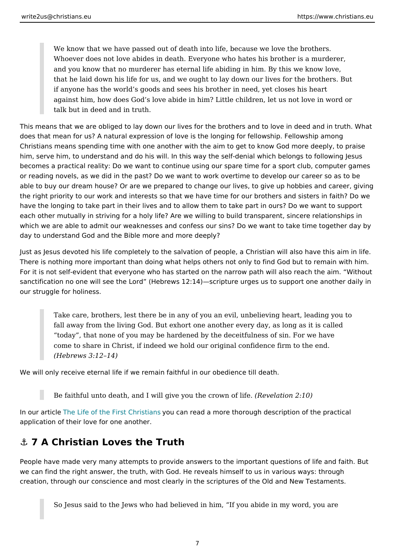<span id="page-6-0"></span>We know that we have passed out of death into life, because we love th Whoever does not love abides in death. Everyone who hates his brother and you know that no murderer has eternal life abiding in him. By this v that he laid down his life for us, and we ought to lay down our lives for if anyone has the world s goods and sees his brother in need, yet close against him, how does God s love abide in him? Little children, let us n talk but in deed and in truth.

This means that we are obliged to lay down our lives for the brothers and to love does that mean for us? A natural expression of love is the longing for fellowship Christians means spending time with one another with the aim to get to know Go him, serve him, to understand and do his will. In this way the self-denial which I becomes a practical reality: Do we want to continue using our spare time for a s or reading novels, as we did in the past? Do we want to work overtime to develo able to buy our dream house? Or are we prepared to change our lives, to give up the right priority to our work and interests so that we have time for our brothers have the longing to take part in their lives and to allow them to take part in ours each other mutually in striving for a holy life? Are we willing to build transparer which we are able to admit our weaknesses and confess our sins? Do we want to day to understand God and the Bible more and more deeply?

Just as Jesus devoted his life completely to the salvation of people, a Christian There is nothing more important than doing what helps others not only to find Go For it is not self-evident that everyone who has started on the narrow path will a sanctification no one will see the Lord (Hebrews 12:14) scripture urges us to su our struggle for holiness.

Take care, brothers, lest there be in any of you an evil, unbelieving heart fall away from the living God. But exhort one another every day, as long today, that none of you may be hardened by the deceitfulness of sin. I come to share in Christ, if indeed we hold our original confidence firm t (Hebrews 3:12 14)

We will only receive eternal life if we remain faithful in our obedience till death.

Be faithful unto death, and I will give you the corridation of  $2$  tiffe.)

In our artTchloe Life of the First Cylonuisclaan sead a more thorough description of the p application of their love for one another.

#### &" 7 A Christian Loves the Truth

People have made very many attempts to provide answers to the important quest we can find the right answer, the truth, with God. He reveals himself to us in va creation, through our conscience and most clearly in the scriptures of the Old an

So Jesus said to the Jews who had believed in him, If you abide in my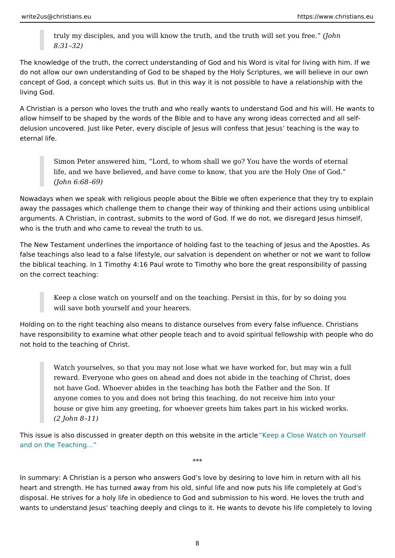truly my disciples, and you will know the truth, and the t(Johnwill set yo 8:31 32)

The knowledge of the truth, the correct understanding of God and his Word is vit do not allow our own understanding of God to be shaped by the Holy Scriptures, concept of God, a concept which suits us. But in this way it is not possible to ha living God.

A Christian is a person who loves the truth and who really wants to understand ( allow himself to be shaped by the words of the Bible and to have any wrong idea delusion uncovered. Just like Peter, every disciple of Jesus will confess that Je eternal life.

Simon Peter answered him, Lord, to whom shall we go? You have the w life, and we have believed, and have come to know, that you are the Ho (John 6:68 69)

Nowadays when we speak with religious people about the Bible we often experier away the passages which challenge them to change their way of thinking and the arguments. A Christian, in contrast, submits to the word of God. If we do not, we who is the truth and who came to reveal the truth to us.

The New Testament underlines the importance of holding fast to the teaching of false teachings also lead to a false lifestyle, our salvation is dependent on whet the biblical teaching. In 1 Timothy 4:16 Paul wrote to Timothy who bore the grea on the correct teaching:

Keep a close watch on yourself and on the teaching. Persist in this, for will save both yourself and your hearers.

Holding on to the right teaching also means to distance ourselves from every fal have responsibility to examine what other people teach and to avoid spiritual fel not hold to the teaching of Christ.

Watch yourselves, so that you may not lose what we have worked for, be reward. Everyone who goes on ahead and does not abide in the teaching not have God. Whoever abides in the teaching has both the Father and t anyone comes to you and does not bring this teaching, do not receive h house or give him any greeting, for whoever greets him takes part in his (2 John 8 11)

This issue is also discussed in greater depth on this Kwepsate lions the Watratic ben Your [and on the Teach](https://christians.eu/danger-of-false-doctrines/)ing &

\*\*\*

In summary: A Christian is a person who answers God s love by desiring to love heart and strength. He has turned away from his old, sinful life and now puts his disposal. He strives for a holy life in obedience to God and submission to his wo wants to understand Jesus teaching deeply and clings to it. He wants to devote